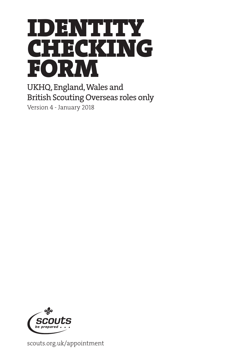

UKHQ, England, Wales and British Scouting Overseas roles only

Version 4 - January 2018



scouts.org.uk/appointment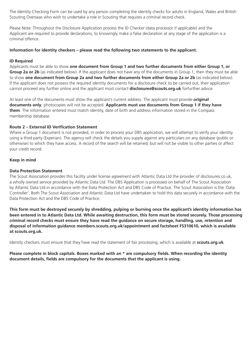The Identity Checking Form can be used by any person completing the identity checks for adults in England, Wales and British Scouting Overseas who wish to undertake a role in Scouting that requires a criminal record check.

Please Note: Throughout the Disclosure Application process the ID Checker (data processor if applicable) and the Applicant are required to provide declarations, to knowingly make a false declaration at any stage of the application is a criminal offence.

#### **Information for identity checkers – please read the following two statements to the applicant.**

### **ID Required**

Applicants must be able to show **one document from Group 1 and two further documents from either Group 1, or Group 2a or 2b** (as indicated below). If the applicant does not have any of the documents in Group 1, then they must be able to show **one document from Group 2a and two further documents from either Group 2a or 2b** (as indicated below). If the applicant does not possess the required identity documents for a disclosure check to be carried out, their application cannot proceed any further online and the applicant must contact **disclosures@scouts.org.uk** forfurther advice.

At least one of the documents must show the applicant's current address. The applicant must provide **original documents only**; photocopies will not be accepted. **Applicants must use documents from Group 1 if they have them**. The information entered must match identity, date of birth and address information stored in the Compass membership database.

### **Route 2 – External ID Verification Statement**

Where a Group 1 document is not provided, in order to process your DBS application, we will attempt to verify your identity using a third party (Experian). The agency will check the details you supply against any particulars on any database (public or otherwise) to which they have access. A record of the search will be retained, but will not be visible to other parties or affect your credit record.

### **Keep in mind**

### **Data Protection Statement**

The Scout Association provides this facility under license agreement with Atlantic Data Ltd the provider of disclosures.co.uk, a wholly owned service provided by Atlantic Data Ltd. The DBS Application is processed on behalf of The Scout Association by Atlantic Data Ltd in accordance with the Data Protection Act and DBS Code of Practice. The Scout Association is the 'Data Controller'. Both The Scout Association and Atlantic Data Ltd have undertaken to hold this data securely in accordance with the Data Protection Act and the DBS Code of Practice.

**This form must be destroyed securely by shredding, pulping or burning once the applicant's identity information has been entered in to Atlantic Data Ltd. While awaiting destruction, this form must be stored securely. Those processing criminal record checks must ensure they have read the guidance on secure storage, handling, use, retention and disposal of information guidance members.scouts.org.uk/appointment and factsheet FS310610, which is available at scouts.org.uk.** 

Identity checkers must ensure that they have read the statement of fair processing, which is available at **scouts.org.uk**.

**Please complete in block capitals. Boxes marked with an \* are compulsory fields. When recording the identity document details, fields are compulsory for the documents that the applicant is using.**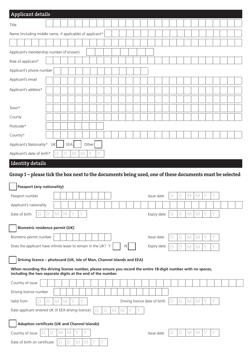| <b>Applicant details</b>                                                                                                                                                      |                                                                                                                 |             |        |       |  |  |   |    |  |                               |  |   |   |                                                                                                            |  |  |  |
|-------------------------------------------------------------------------------------------------------------------------------------------------------------------------------|-----------------------------------------------------------------------------------------------------------------|-------------|--------|-------|--|--|---|----|--|-------------------------------|--|---|---|------------------------------------------------------------------------------------------------------------|--|--|--|
| Title                                                                                                                                                                         |                                                                                                                 |             |        |       |  |  |   |    |  |                               |  |   |   |                                                                                                            |  |  |  |
| Name (including middle name, if applicable) of applicant*                                                                                                                     |                                                                                                                 |             |        |       |  |  |   |    |  |                               |  |   |   |                                                                                                            |  |  |  |
|                                                                                                                                                                               |                                                                                                                 |             |        |       |  |  |   |    |  |                               |  |   |   |                                                                                                            |  |  |  |
| Applicant's membership number (if known)                                                                                                                                      |                                                                                                                 |             |        |       |  |  |   |    |  |                               |  |   |   |                                                                                                            |  |  |  |
| Role of applicant*                                                                                                                                                            |                                                                                                                 |             |        |       |  |  |   |    |  |                               |  |   |   |                                                                                                            |  |  |  |
| Applicant's phone number                                                                                                                                                      |                                                                                                                 |             |        |       |  |  |   |    |  |                               |  |   |   |                                                                                                            |  |  |  |
| Applicant's email                                                                                                                                                             |                                                                                                                 |             |        |       |  |  |   |    |  |                               |  |   |   |                                                                                                            |  |  |  |
| Applicant's address*                                                                                                                                                          |                                                                                                                 |             |        |       |  |  |   |    |  |                               |  |   |   |                                                                                                            |  |  |  |
|                                                                                                                                                                               |                                                                                                                 |             |        |       |  |  |   |    |  |                               |  |   |   |                                                                                                            |  |  |  |
| Town*                                                                                                                                                                         |                                                                                                                 |             |        |       |  |  |   |    |  |                               |  |   |   |                                                                                                            |  |  |  |
| County                                                                                                                                                                        |                                                                                                                 |             |        |       |  |  |   |    |  |                               |  |   |   |                                                                                                            |  |  |  |
| Postcode*                                                                                                                                                                     |                                                                                                                 |             |        |       |  |  |   |    |  |                               |  |   |   |                                                                                                            |  |  |  |
| Country*                                                                                                                                                                      |                                                                                                                 |             |        |       |  |  |   |    |  |                               |  |   |   |                                                                                                            |  |  |  |
| Applicant's Nationality*                                                                                                                                                      | UK                                                                                                              | EEA         |        | Other |  |  |   |    |  |                               |  |   |   |                                                                                                            |  |  |  |
| Applicant's date of birth*                                                                                                                                                    |                                                                                                                 |             | M<br>M |       |  |  |   |    |  |                               |  |   |   |                                                                                                            |  |  |  |
| <b>Identity details</b>                                                                                                                                                       |                                                                                                                 |             |        |       |  |  |   |    |  |                               |  |   |   |                                                                                                            |  |  |  |
|                                                                                                                                                                               |                                                                                                                 |             |        |       |  |  |   |    |  |                               |  |   |   |                                                                                                            |  |  |  |
| Group 1 – please tick the box next to the documents being used, one of these documents must be selected                                                                       |                                                                                                                 |             |        |       |  |  |   |    |  |                               |  |   |   |                                                                                                            |  |  |  |
|                                                                                                                                                                               |                                                                                                                 |             |        |       |  |  |   |    |  |                               |  |   |   |                                                                                                            |  |  |  |
| <b>Passport (any nationality)</b>                                                                                                                                             |                                                                                                                 |             |        |       |  |  |   |    |  |                               |  |   |   | IV                                                                                                         |  |  |  |
| Passport number                                                                                                                                                               |                                                                                                                 |             |        |       |  |  |   |    |  | Issue date                    |  |   |   |                                                                                                            |  |  |  |
| Applicant's nationality<br>Date of birth                                                                                                                                      | $\mathbb N$<br>D                                                                                                | $\mathbb N$ |        |       |  |  |   |    |  | Expiry date                   |  | D | M | $\mathsf{M}% _{T}=\mathsf{M}_{T}\!\left( a,b\right) ,\ \mathsf{M}_{T}=\mathsf{M}_{T}\!\left( a,b\right) ,$ |  |  |  |
|                                                                                                                                                                               |                                                                                                                 |             |        |       |  |  |   |    |  |                               |  |   |   |                                                                                                            |  |  |  |
| <b>Biometric residence permit (UK)</b>                                                                                                                                        |                                                                                                                 |             |        |       |  |  |   |    |  |                               |  |   |   |                                                                                                            |  |  |  |
| Biometric permit number                                                                                                                                                       |                                                                                                                 |             |        |       |  |  |   |    |  | Issue date                    |  | D | M | M                                                                                                          |  |  |  |
| Does the applicant have infinite leave to remain in the UK? Y                                                                                                                 |                                                                                                                 |             |        |       |  |  |   | N. |  | Expiry date                   |  | D | M | M                                                                                                          |  |  |  |
| Driving licence - photocard (UK, Isle of Man, Channel Islands and EEA)                                                                                                        |                                                                                                                 |             |        |       |  |  |   |    |  |                               |  |   |   |                                                                                                            |  |  |  |
| When recording the driving license number, please ensure you record the entire 18-digit number with no spaces,<br>including the two separate digits at the end of the number. |                                                                                                                 |             |        |       |  |  |   |    |  |                               |  |   |   |                                                                                                            |  |  |  |
| Country of issue                                                                                                                                                              |                                                                                                                 |             |        |       |  |  |   |    |  |                               |  |   |   |                                                                                                            |  |  |  |
| Driving licence number                                                                                                                                                        |                                                                                                                 |             |        |       |  |  |   |    |  |                               |  |   |   |                                                                                                            |  |  |  |
| Valid from                                                                                                                                                                    | $\mathsf{M}% _{T}=\mathsf{M}_{T}\!\left( a,b\right) ,\ \mathsf{M}_{T}=\mathsf{M}_{T}\!\left( a,b\right) ,$<br>D | M           |        |       |  |  |   |    |  | Driving licence date of birth |  | D | M | M                                                                                                          |  |  |  |
| Date applicant entered UK (if EEA driving licence)                                                                                                                            |                                                                                                                 |             |        |       |  |  | M | M  |  |                               |  |   |   |                                                                                                            |  |  |  |

|  |  |  |  |  |  | Issue date |
|--|--|--|--|--|--|------------|
|  |  |  |  |  |  |            |

| sue date |  |  |  |
|----------|--|--|--|
|          |  |  |  |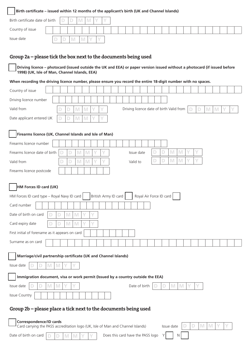| Birth certificate date of birth $\Box$ |   | $\mathbf{D}$ | M | N |  |  |  |  |  |  |  |  |  |  |
|----------------------------------------|---|--------------|---|---|--|--|--|--|--|--|--|--|--|--|
| Country of issue                       |   |              |   |   |  |  |  |  |  |  |  |  |  |  |
| Issue date                             | D | M            |   |   |  |  |  |  |  |  |  |  |  |  |

# Group 2a – please tick the box next to the documents being used

 **Driving licence – photocard (issued outside the UK and EEA) or paper version issued without a photocard (if issued before 1998) (UK, Isle of Man, Channel Islands, EEA)** 

**When recording the driving licence number, please ensure you record the entire 18-digit number with no spaces.** 

| Country of issue                                                                                                                                                                                                                                                                              |  |  |  |  |  |  |  |  |  |
|-----------------------------------------------------------------------------------------------------------------------------------------------------------------------------------------------------------------------------------------------------------------------------------------------|--|--|--|--|--|--|--|--|--|
| Driving licence number                                                                                                                                                                                                                                                                        |  |  |  |  |  |  |  |  |  |
| Valid from<br>Driving licence date of birth Valid from<br>M<br>M<br>M<br>M<br>D<br>Y<br>D<br>$\mathbf{D}$                                                                                                                                                                                     |  |  |  |  |  |  |  |  |  |
| Date applicant entered UK<br>$\mathbb{M}$<br>M<br>D                                                                                                                                                                                                                                           |  |  |  |  |  |  |  |  |  |
|                                                                                                                                                                                                                                                                                               |  |  |  |  |  |  |  |  |  |
| Firearms licence (UK, Channel Islands and Isle of Man)                                                                                                                                                                                                                                        |  |  |  |  |  |  |  |  |  |
| Firearms licence number                                                                                                                                                                                                                                                                       |  |  |  |  |  |  |  |  |  |
| $\mathbb{M}$<br>M<br>$\mathsf{M}% _{T}=\mathsf{M}_{T}\!\left( a,b\right) ,\ \mathsf{M}_{T}=\mathsf{M}_{T}\!\left( a,b\right) ,$<br>$\mathsf{M}% _{T}=\mathsf{M}_{T}\!\left( a,b\right) ,\ \mathsf{M}_{T}=\mathsf{M}_{T}\!\left( a,b\right) ,$<br>Firearms licence date of birth<br>Issue date |  |  |  |  |  |  |  |  |  |
| $\mathbb{M}$<br>$\mathsf{M}% _{T}=\mathsf{M}_{T}\!\left( a,b\right) ,\ \mathsf{M}_{T}=\mathsf{M}_{T}\!\left( a,b\right) ,$<br>Y<br>D<br>$\mathsf{M}% _{T}=\mathsf{M}_{T}\!\left( a,b\right) ,\ \mathsf{M}_{T}=\mathsf{M}_{T}\!\left( a,b\right) ,$<br>M<br>Valid from<br>Valid to             |  |  |  |  |  |  |  |  |  |
| Firearms licence postcode                                                                                                                                                                                                                                                                     |  |  |  |  |  |  |  |  |  |
|                                                                                                                                                                                                                                                                                               |  |  |  |  |  |  |  |  |  |
| HM Forces ID card (UK)                                                                                                                                                                                                                                                                        |  |  |  |  |  |  |  |  |  |
| British Army ID card<br>Royal Air Force ID card<br>HM Forces ID card type - Royal Navy ID card                                                                                                                                                                                                |  |  |  |  |  |  |  |  |  |
| Card number                                                                                                                                                                                                                                                                                   |  |  |  |  |  |  |  |  |  |
| Date of birth on card<br>M<br>M<br>Υ<br>D                                                                                                                                                                                                                                                     |  |  |  |  |  |  |  |  |  |
| Card expiry date<br>M<br>M                                                                                                                                                                                                                                                                    |  |  |  |  |  |  |  |  |  |
| First initial of forename as it appears on card                                                                                                                                                                                                                                               |  |  |  |  |  |  |  |  |  |
| Surname as on card                                                                                                                                                                                                                                                                            |  |  |  |  |  |  |  |  |  |
|                                                                                                                                                                                                                                                                                               |  |  |  |  |  |  |  |  |  |
| Marriage/civil partnership certificate (UK and Channel Islands)                                                                                                                                                                                                                               |  |  |  |  |  |  |  |  |  |
| Issue date<br>M<br>D<br>M                                                                                                                                                                                                                                                                     |  |  |  |  |  |  |  |  |  |
| Immigration document, visa or work permit (Issued by a country outside the EEA)                                                                                                                                                                                                               |  |  |  |  |  |  |  |  |  |
| M<br>M<br>Date of birth<br>M<br>Issue date<br>D<br>M                                                                                                                                                                                                                                          |  |  |  |  |  |  |  |  |  |
| Issue Country                                                                                                                                                                                                                                                                                 |  |  |  |  |  |  |  |  |  |
|                                                                                                                                                                                                                                                                                               |  |  |  |  |  |  |  |  |  |
| Group 2b – please place a tick next to the documents being used                                                                                                                                                                                                                               |  |  |  |  |  |  |  |  |  |
| Correspondence/ID cards                                                                                                                                                                                                                                                                       |  |  |  |  |  |  |  |  |  |
| M<br>Card carrying the PASS accreditation logo (UK, Isle of Man and Channel Islands)<br>M<br>Issue date                                                                                                                                                                                       |  |  |  |  |  |  |  |  |  |
| Date of birth on card<br>Does this card have the PASS logo<br>N<br>Y                                                                                                                                                                                                                          |  |  |  |  |  |  |  |  |  |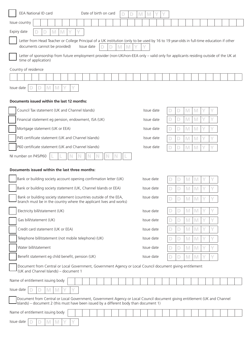| Date of birth on card<br>EEA National ID card<br>D                                                                                                                                                                  | M<br>M     |        |                              |  |  |  |  |  |  |  |  |
|---------------------------------------------------------------------------------------------------------------------------------------------------------------------------------------------------------------------|------------|--------|------------------------------|--|--|--|--|--|--|--|--|
| Issue country                                                                                                                                                                                                       |            |        |                              |  |  |  |  |  |  |  |  |
| Expiry date<br>M<br>M                                                                                                                                                                                               |            |        |                              |  |  |  |  |  |  |  |  |
| Letter from Head Teacher or College Principal of a UK institution (only to be used by 16 to 19 year-olds in full-time education if other<br>documents cannot be provided)<br>M<br>Issue date<br>M                   |            |        |                              |  |  |  |  |  |  |  |  |
| Letter of sponsorship from future employment provider (non-UK/non-EEA only - valid only for applicants residing outside of the UK at<br>time of application)                                                        |            |        |                              |  |  |  |  |  |  |  |  |
| Country of residence                                                                                                                                                                                                |            |        |                              |  |  |  |  |  |  |  |  |
|                                                                                                                                                                                                                     |            |        |                              |  |  |  |  |  |  |  |  |
| M<br>M<br>Issue date                                                                                                                                                                                                |            |        |                              |  |  |  |  |  |  |  |  |
| Documents issued within the last 12 months:                                                                                                                                                                         |            |        |                              |  |  |  |  |  |  |  |  |
| Council Tax statement (UK and Channel Islands)                                                                                                                                                                      | Issue date | D<br>D | M<br>M                       |  |  |  |  |  |  |  |  |
| Financial statement eg pension, endowment, ISA (UK)                                                                                                                                                                 | Issue date | D      | M<br>M                       |  |  |  |  |  |  |  |  |
| Mortgage statement (UK or EEA)                                                                                                                                                                                      | Issue date | D      | M<br>M                       |  |  |  |  |  |  |  |  |
| P45 certificate statement (UK and Channel Islands)                                                                                                                                                                  | Issue date | D      | M<br>M                       |  |  |  |  |  |  |  |  |
| P60 certificate statement (UK and Channel Islands)                                                                                                                                                                  | Issue date | D      | M<br>M                       |  |  |  |  |  |  |  |  |
| NI number on P45/P60                                                                                                                                                                                                |            |        |                              |  |  |  |  |  |  |  |  |
| Documents issued within the last three months:                                                                                                                                                                      |            |        |                              |  |  |  |  |  |  |  |  |
| Bank or building society account opening confirmation letter (UK)                                                                                                                                                   | Issue date | D      | M<br>M                       |  |  |  |  |  |  |  |  |
| Bank or building society statement (UK, Channel Islands or EEA)                                                                                                                                                     | Issue date |        | M<br>M                       |  |  |  |  |  |  |  |  |
| Bank or building society statement (countries outside of the EEA,<br>branch must be in the country where the applicant lives and works)                                                                             | Issue date |        | $\mathbb{M}$<br>$\mathbb{M}$ |  |  |  |  |  |  |  |  |
| Electricity bill/statement (UK)                                                                                                                                                                                     | Issue date | D      | M<br>M                       |  |  |  |  |  |  |  |  |
| Gas bill/statement (UK)                                                                                                                                                                                             | Issue date | D      | M<br>M                       |  |  |  |  |  |  |  |  |
| Credit card statement (UK or EEA)                                                                                                                                                                                   | Issue date | D      | M<br>M                       |  |  |  |  |  |  |  |  |
| Telephone bill/statement (not mobile telephone) (UK)                                                                                                                                                                | Issue date | D      | M<br>M                       |  |  |  |  |  |  |  |  |
| Water bill/statement                                                                                                                                                                                                | Issue date | D      | M<br>M                       |  |  |  |  |  |  |  |  |
| Benefit statement eg child benefit, pension (UK)                                                                                                                                                                    | Issue date | D      | M<br>M                       |  |  |  |  |  |  |  |  |
| Document from Central or Local Government, Government Agency or Local Council document giving entitlement<br>(UK and Channel Islands) - document 1                                                                  |            |        |                              |  |  |  |  |  |  |  |  |
| Name of entitlement issuing body                                                                                                                                                                                    |            |        |                              |  |  |  |  |  |  |  |  |
| Issue date<br>M<br>M                                                                                                                                                                                                |            |        |                              |  |  |  |  |  |  |  |  |
| Document from Central or Local Government, Government Agency or Local Council document giving entitlement (UK and Channel<br>Islands) - document 2 (this must have been issued by a different body than document 1) |            |        |                              |  |  |  |  |  |  |  |  |
| Name of entitlement issuing body                                                                                                                                                                                    |            |        |                              |  |  |  |  |  |  |  |  |
| Issue date<br>M                                                                                                                                                                                                     |            |        |                              |  |  |  |  |  |  |  |  |